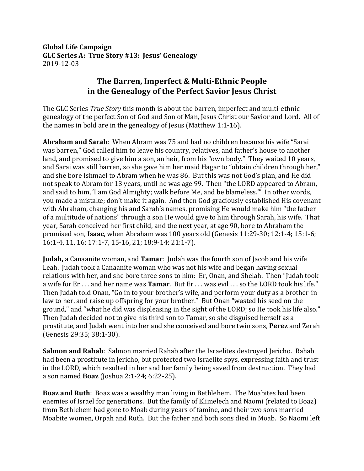**Global Life Campaign** GLC Series A: True Story #13: Jesus' Genealogy 2019-12-03

## **The Barren, Imperfect & Multi-Ethnic People** in the Genealogy of the Perfect Savior Jesus Christ

The GLC Series *True Story* this month is about the barren, imperfect and multi-ethnic genealogy of the perfect Son of God and Son of Man, Jesus Christ our Savior and Lord. All of the names in bold are in the genealogy of Jesus (Matthew 1:1-16).

**Abraham and Sarah**: When Abram was 75 and had no children because his wife "Sarai was barren," God called him to leave his country, relatives, and father's house to another land, and promised to give him a son, an heir, from his "own body." They waited 10 years, and Sarai was still barren, so she gave him her maid Hagar to "obtain children through her," and she bore Ishmael to Abram when he was 86. But this was not God's plan, and He did not speak to Abram for 13 years, until he was age 99. Then "the LORD appeared to Abram, and said to him, 'I am God Almighty; walk before Me, and be blameless.'" In other words, you made a mistake; don't make it again. And then God graciously established His covenant with Abraham, changing his and Sarah's names, promising He would make him "the father of a multitude of nations" through a son He would give to him through Sarah, his wife. That year, Sarah conceived her first child, and the next year, at age 90, bore to Abraham the promised son, **Isaac**, when Abraham was  $100$  years old (Genesis  $11:29-30$ ;  $12:1-4$ ;  $15:1-6$ ; 16:1-4, 11, 16; 17:1-7, 15-16, 21; 18:9-14; 21:1-7). 

**Judah,** a Canaanite woman, and **Tamar**: Judah was the fourth son of Jacob and his wife Leah. Judah took a Canaanite woman who was not his wife and began having sexual relations with her, and she bore three sons to him: Er, Onan, and Shelah. Then "Judah took a wife for Er ... and her name was **Tamar**. But Er ... was evil ... so the LORD took his life." Then Judah told Onan, "Go in to your brother's wife, and perform your duty as a brother-inlaw to her, and raise up offspring for your brother." But Onan "wasted his seed on the ground," and "what he did was displeasing in the sight of the LORD; so He took his life also." Then Judah decided not to give his third son to Tamar, so she disguised herself as a prostitute, and Judah went into her and she conceived and bore twin sons, **Perez** and Zerah (Genesis 29:35; 38:1-30).

**Salmon and Rahab**: Salmon married Rahab after the Israelites destroyed Jericho. Rahab had been a prostitute in Jericho, but protected two Israelite spys, expressing faith and trust in the LORD, which resulted in her and her family being saved from destruction. They had a son named **Boaz** (Joshua 2:1-24; 6:22-25).

**Boaz and Ruth**: Boaz was a wealthy man living in Bethlehem. The Moabites had been enemies of Israel for generations. But the family of Elimelech and Naomi (related to Boaz) from Bethlehem had gone to Moab during years of famine, and their two sons married Moabite women, Orpah and Ruth. But the father and both sons died in Moab. So Naomi left